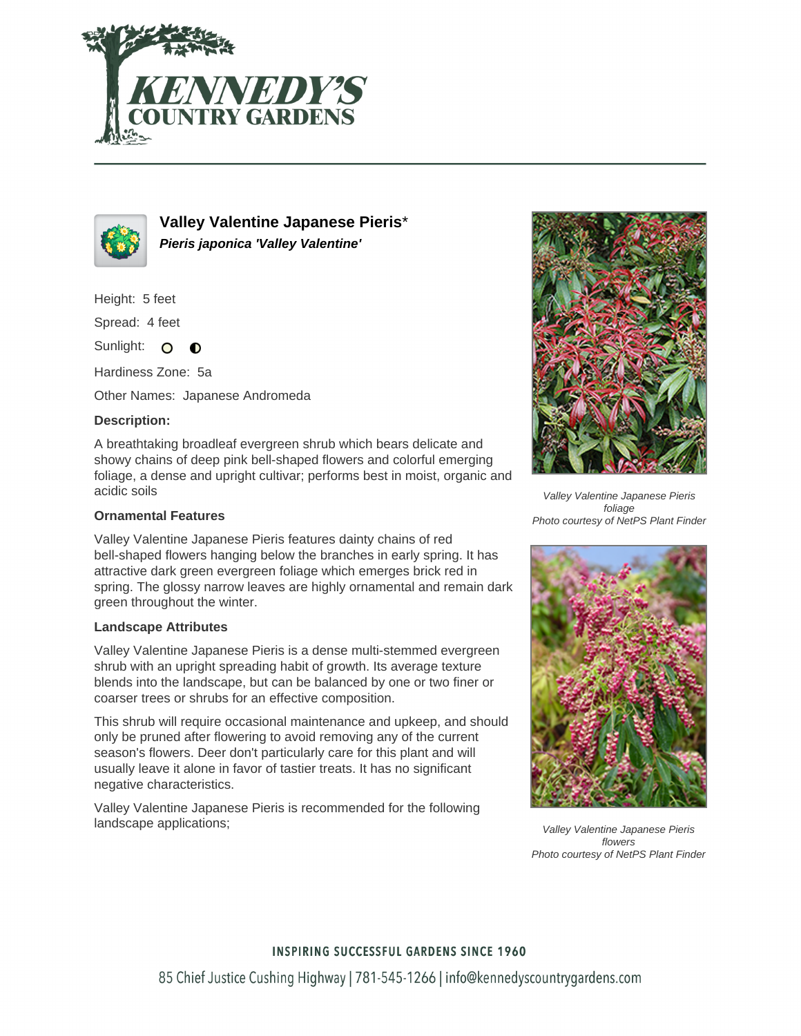



**Valley Valentine Japanese Pieris**\* **Pieris japonica 'Valley Valentine'**

Height: 5 feet

Spread: 4 feet

Sunlight: O  $\bullet$ 

Hardiness Zone: 5a

Other Names: Japanese Andromeda

## **Description:**

A breathtaking broadleaf evergreen shrub which bears delicate and showy chains of deep pink bell-shaped flowers and colorful emerging foliage, a dense and upright cultivar; performs best in moist, organic and acidic soils

## **Ornamental Features**

Valley Valentine Japanese Pieris features dainty chains of red bell-shaped flowers hanging below the branches in early spring. It has attractive dark green evergreen foliage which emerges brick red in spring. The glossy narrow leaves are highly ornamental and remain dark green throughout the winter.

## **Landscape Attributes**

Valley Valentine Japanese Pieris is a dense multi-stemmed evergreen shrub with an upright spreading habit of growth. Its average texture blends into the landscape, but can be balanced by one or two finer or coarser trees or shrubs for an effective composition.

This shrub will require occasional maintenance and upkeep, and should only be pruned after flowering to avoid removing any of the current season's flowers. Deer don't particularly care for this plant and will usually leave it alone in favor of tastier treats. It has no significant negative characteristics.

Valley Valentine Japanese Pieris is recommended for the following landscape applications;



Valley Valentine Japanese Pieris foliage Photo courtesy of NetPS Plant Finder



Valley Valentine Japanese Pieris flowers Photo courtesy of NetPS Plant Finder

**INSPIRING SUCCESSFUL GARDENS SINCE 1960**